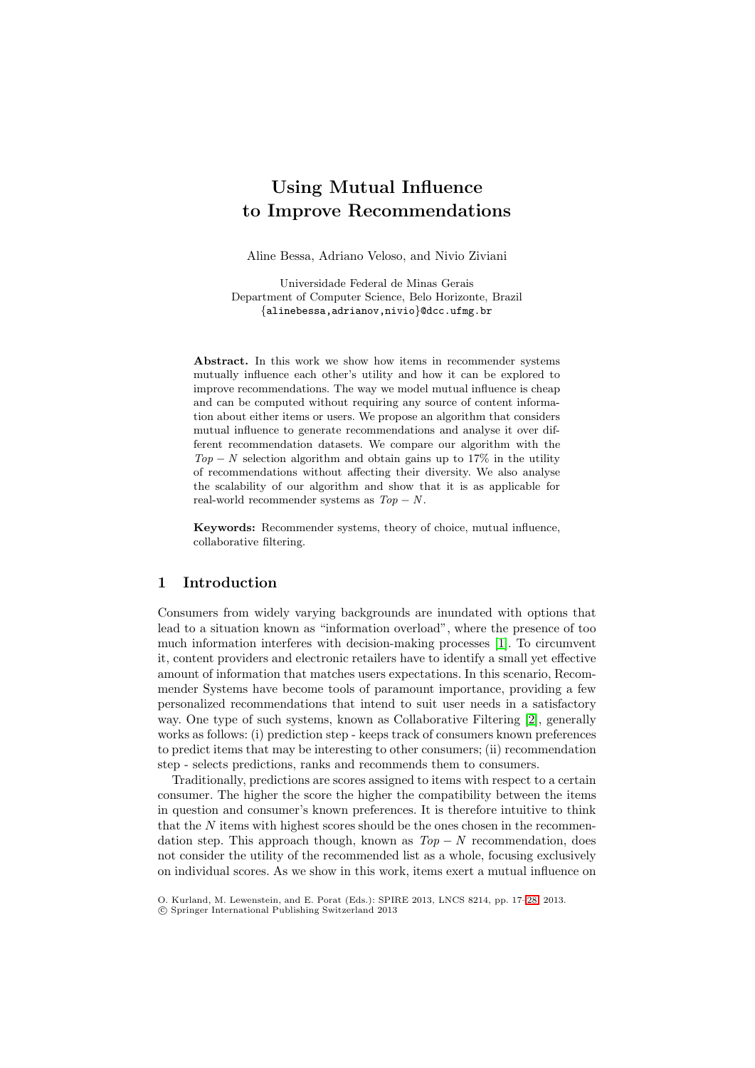# **Using Mutual Influence to Improve Recommendations**

Aline Bessa, Adriano Veloso, and Nivio Ziviani

Universidade Federal de Minas Gerais Department of Computer Science, Belo Horizonte, Brazil {alinebessa,adrianov,nivio}@dcc.ufmg.br

**Abstract.** In this work we show how items in recommender systems mutually influence each other's utility and how it can be explored to improve recommendations. The way we model mutual influence is cheap and can be computed without requiring any source of content information about either items or users. We propose an algorithm that considers mutual influence to generate recommendations and analyse it over different recommendation datasets. We compare our algorithm with the  $Top - N$  selection algorithm and obtain gains up to 17% in the utility of recommendations without affecting their diversity. We also analyse the scalability of our algorithm and show that it is as applicable for real-world recommender systems as  $Top - N$ .

**Keywords:** Recommender systems, theory of choice, mutual influence, collaborative filtering.

## **1 Introduction**

Consumers from widely varying backgrounds are inundated with options that lead to a situation known as "information overload", where the presence of too much information interferes with decision-making processes [\[1\]](#page-11-0). To circumvent it, content providers and electronic retailers have to identify a small yet effective amount of information that matches users expectations. In this scenario, Recommender Systems have become tools of paramount importance, providing a few personalized recommendations that intend to suit user needs in a satisfactory way. One type of such systems, known as Collaborative Filtering [\[2\]](#page-11-1), generally works as follows: (i) prediction step - keeps track of consumers known preferences to predict items that may be interesting to other consumers; (ii) recommendation step - selects predictions, ranks and recommends them to consumers.

Traditionally, predictions are scores assigned to items with respect to a certain consumer. The higher the score the higher the compatibility between the items in question and consumer's known preferences. It is therefore intuitive to think that the  $N$  items with highest scores should be the ones chosen in the recommendation step. This approach though, known as  $Top - N$  recommendation, does not consider the utility of the recommended list as a whole, focusing exclusively on individual scores. As we show in this work, items exert a mutual influence on

O. Kurland, M. Lewenstein, and E. Porat (Eds.): SPIRE 2013, LNCS 8214, pp. 17[–28,](#page-11-2) 2013.

<sup>-</sup>c Springer International Publishing Switzerland 2013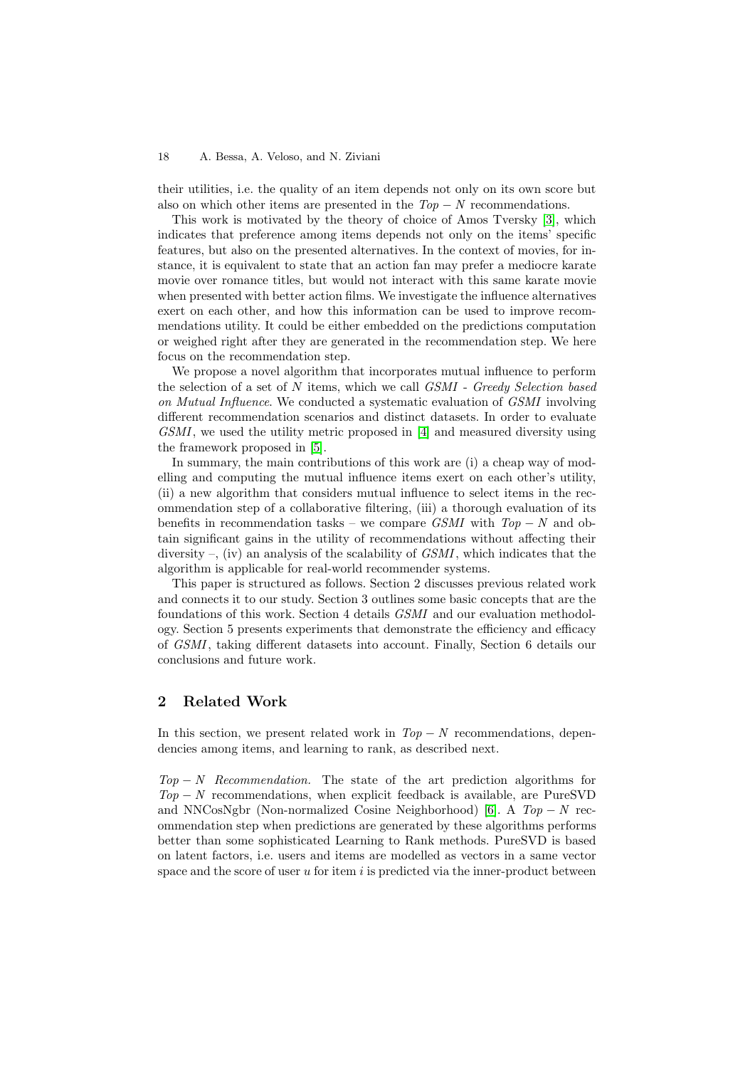their utilities, i.e. the quality of an item depends not only on its own score but also on which other items are presented in the  $Top - N$  recommendations.

This work is motivated by the theory of choice of Amos Tversky [\[3\]](#page-11-3), which indicates that preference among items depends not only on the items' specific features, but also on the presented alternatives. In the context of movies, for instance, it is equivalent to state that an action fan may prefer a mediocre karate movie over romance titles, but would not interact with this same karate movie when presented with better action films. We investigate the influence alternatives exert on each other, and how this information can be used to improve recommendations utility. It could be either embedded on the predictions computation or weighed right after they are generated in the recommendation step. We here focus on the recommendation step.

We propose a novel algorithm that incorporates mutual influence to perform the selection of a set of N items, which we call *GSMI* - *Greedy Selection based on Mutual Influence*. We conducted a systematic evaluation of *GSMI* involving different recommendation scenarios and distinct datasets. In order to evaluate *GSMI*, we used the utility metric proposed in [\[4\]](#page-11-4) and measured diversity using the framework proposed in [\[5\]](#page-11-5).

In summary, the main contributions of this work are (i) a cheap way of modelling and computing the mutual influence items exert on each other's utility, (ii) a new algorithm that considers mutual influence to select items in the recommendation step of a collaborative filtering, (iii) a thorough evaluation of its benefits in recommendation tasks – we compare *GSMI* with *Top* − *N* and obtain significant gains in the utility of recommendations without affecting their diversity –, (iv) an analysis of the scalability of *GSMI*, which indicates that the algorithm is applicable for real-world recommender systems.

This paper is structured as follows. Section 2 discusses previous related work and connects it to our study. Section 3 outlines some basic concepts that are the foundations of this work. Section 4 details *GSMI* and our evaluation methodology. Section 5 presents experiments that demonstrate the efficiency and efficacy of *GSMI*, taking different datasets into account. Finally, Section 6 details our conclusions and future work.

# **2 Related Work**

In this section, we present related work in  $Top - N$  recommendations, dependencies among items, and learning to rank, as described next.

*Top* − *N Recommendation.* The state of the art prediction algorithms for *Top* − *N* recommendations, when explicit feedback is available, are PureSVD and NNCosNgbr (Non-normalized Cosine Neighborhood) [\[6\]](#page-11-6). A *Top* − *N* recommendation step when predictions are generated by these algorithms performs better than some sophisticated Learning to Rank methods. PureSVD is based on latent factors, i.e. users and items are modelled as vectors in a same vector space and the score of user  $u$  for item  $i$  is predicted via the inner-product between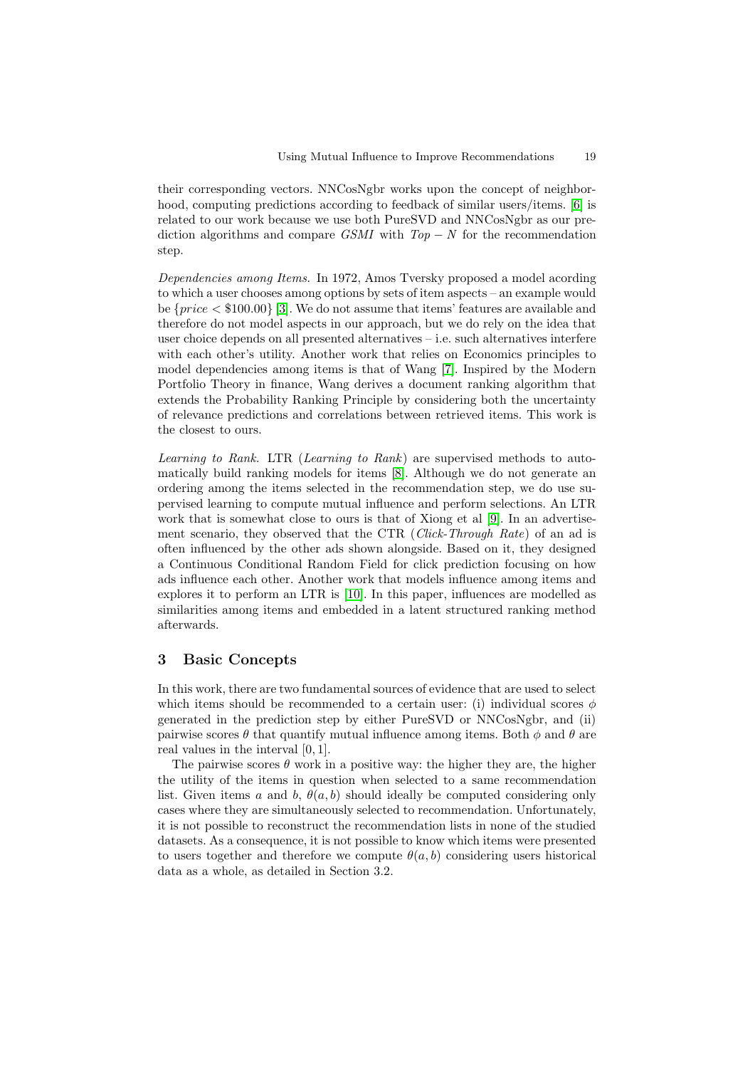their corresponding vectors. NNCosNgbr works upon the concept of neighbor-hood, computing predictions according to feedback of similar users/items. [\[6\]](#page-11-6) is related to our work because we use both PureSVD and NNCosNgbr as our prediction algorithms and compare *GSMI* with *Top* − *N* for the recommendation step.

*Dependencies among Items.* In 1972, Amos Tversky proposed a model acording to which a user chooses among options by sets of item aspects – an example would be  $\{price < $100.00\}$  [\[3\]](#page-11-3). We do not assume that items' features are available and therefore do not model aspects in our approach, but we do rely on the idea that user choice depends on all presented alternatives – i.e. such alternatives interfere with each other's utility. Another work that relies on Economics principles to model dependencies among items is that of Wang [\[7\]](#page-11-7). Inspired by the Modern Portfolio Theory in finance, Wang derives a document ranking algorithm that extends the Probability Ranking Principle by considering both the uncertainty of relevance predictions and correlations between retrieved items. This work is the closest to ours.

*Learning to Rank.* LTR (*Learning to Rank*) are supervised methods to automatically build ranking models for items [\[8\]](#page-11-8). Although we do not generate an ordering among the items selected in the recommendation step, we do use supervised learning to compute mutual influence and perform selections. An LTR work that is somewhat close to ours is that of Xiong et al [\[9\]](#page-11-9). In an advertisement scenario, they observed that the CTR (*Click-Through Rate*) of an ad is often influenced by the other ads shown alongside. Based on it, they designed a Continuous Conditional Random Field for click prediction focusing on how ads influence each other. Another work that models influence among items and explores it to perform an LTR is [\[10\]](#page-11-10). In this paper, influences are modelled as similarities among items and embedded in a latent structured ranking method afterwards.

# **3 Basic Concepts**

In this work, there are two fundamental sources of evidence that are used to select which items should be recommended to a certain user: (i) individual scores  $\phi$ generated in the prediction step by either PureSVD or NNCosNgbr, and (ii) pairwise scores  $\theta$  that quantify mutual influence among items. Both  $\phi$  and  $\theta$  are real values in the interval [0, 1].

The pairwise scores  $\theta$  work in a positive way: the higher they are, the higher the utility of the items in question when selected to a same recommendation list. Given items a and b,  $\theta(a, b)$  should ideally be computed considering only cases where they are simultaneously selected to recommendation. Unfortunately, it is not possible to reconstruct the recommendation lists in none of the studied datasets. As a consequence, it is not possible to know which items were presented to users together and therefore we compute  $\theta(a, b)$  considering users historical data as a whole, as detailed in Section 3.2.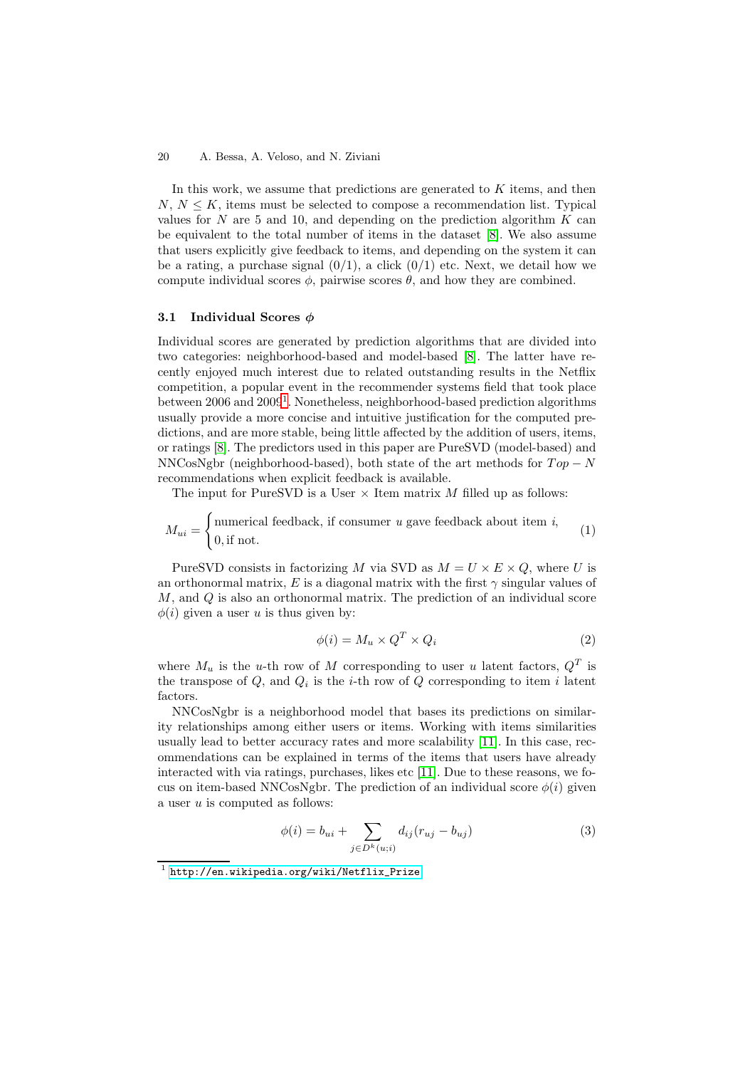In this work, we assume that predictions are generated to  $K$  items, and then  $N, N \leq K$ , items must be selected to compose a recommendation list. Typical values for N are 5 and 10, and depending on the prediction algorithm  $K$  can be equivalent to the total number of items in the dataset [\[8\]](#page-11-8). We also assume that users explicitly give feedback to items, and depending on the system it can be a rating, a purchase signal  $(0/1)$ , a click  $(0/1)$  etc. Next, we detail how we compute individual scores  $\phi$ , pairwise scores  $\theta$ , and how they are combined.

## **3.1 Individual Scores** *φ*

Individual scores are generated by prediction algorithms that are divided into two categories: neighborhood-based and model-based [\[8\]](#page-11-8). The latter have recently enjoyed much interest due to related outstanding results in the Netflix competition, a popular event in the recommender systems field that took place between  $2006$  and  $2009<sup>1</sup>$  $2009<sup>1</sup>$  $2009<sup>1</sup>$ . Nonetheless, neighborhood-based prediction algorithms usually provide a more concise and intuitive justification for the computed predictions, and are more stable, being little affected by the addition of users, items, or ratings [\[8\]](#page-11-8). The predictors used in this paper are PureSVD (model-based) and NNCosNgbr (neighborhood-based), both state of the art methods for  $Top - N$ recommendations when explicit feedback is available.

The input for PureSVD is a User  $\times$  Item matrix M filled up as follows:

$$
M_{ui} = \begin{cases} \text{numerical feedback, if consumer } u \text{ gave feedback about item } i, \\ 0, \text{if not.} \end{cases} \tag{1}
$$

PureSVD consists in factorizing M via SVD as  $M = U \times E \times Q$ , where U is an orthonormal matrix, E is a diagonal matrix with the first  $\gamma$  singular values of M, and Q is also an orthonormal matrix. The prediction of an individual score  $\phi(i)$  given a user u is thus given by:

$$
\phi(i) = M_u \times Q^T \times Q_i \tag{2}
$$

where  $M_u$  is the *u*-th row of M corresponding to user u latent factors,  $Q^T$  is the transpose of  $Q$ , and  $Q_i$  is the *i*-th row of  $Q$  corresponding to item *i* latent factors.

NNCosNgbr is a neighborhood model that bases its predictions on similarity relationships among either users or items. Working with items similarities usually lead to better accuracy rates and more scalability [\[11\]](#page-11-11). In this case, recommendations can be explained in terms of the items that users have already interacted with via ratings, purchases, likes etc [\[11\]](#page-11-11). Due to these reasons, we focus on item-based NNCosNgbr. The prediction of an individual score  $\phi(i)$  given a user  $u$  is computed as follows:

<span id="page-3-1"></span>
$$
\phi(i) = b_{ui} + \sum_{j \in D^k(u;i)} d_{ij}(r_{uj} - b_{uj})
$$
\n(3)

<span id="page-3-0"></span><sup>1</sup> [http://en.wikipedia.org/wiki/Netflix\\_Prize](http://en.wikipedia.org/wiki/Netflix_Prize)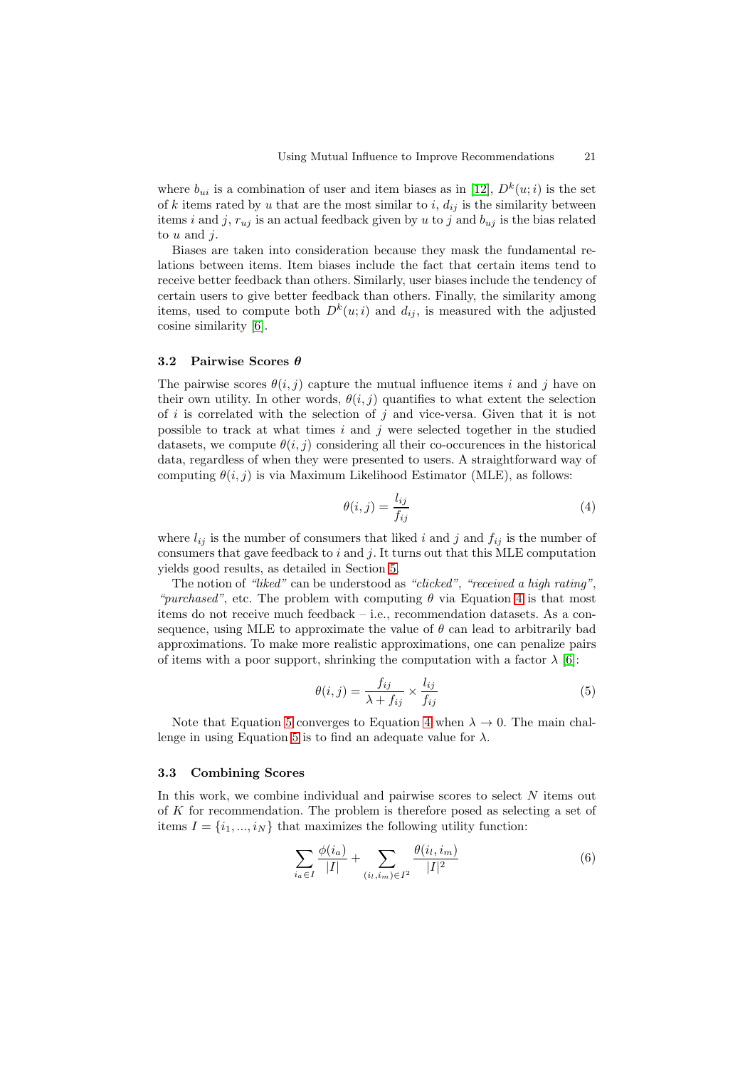where  $b_{ui}$  is a combination of user and item biases as in [\[12\]](#page-11-12),  $D^k(u; i)$  is the set of k items rated by u that are the most similar to  $i, d_{ij}$  is the similarity between items *i* and *j*,  $r_{uj}$  is an actual feedback given by *u* to *j* and  $b_{uj}$  is the bias related to  $u$  and  $i$ .

Biases are taken into consideration because they mask the fundamental relations between items. Item biases include the fact that certain items tend to receive better feedback than others. Similarly, user biases include the tendency of certain users to give better feedback than others. Finally, the similarity among items, used to compute both  $D^k(u;i)$  and  $d_{ij}$ , is measured with the adjusted cosine similarity [\[6\]](#page-11-6).

## **3.2 Pairwise Scores** *θ*

The pairwise scores  $\theta(i, j)$  capture the mutual influence items i and j have on their own utility. In other words,  $\theta(i, j)$  quantifies to what extent the selection of i is correlated with the selection of j and vice-versa. Given that it is not possible to track at what times  $i$  and  $j$  were selected together in the studied datasets, we compute  $\theta(i, j)$  considering all their co-occurences in the historical data, regardless of when they were presented to users. A straightforward way of computing  $\theta(i, j)$  is via Maximum Likelihood Estimator (MLE), as follows:

<span id="page-4-0"></span>
$$
\theta(i,j) = \frac{l_{ij}}{f_{ij}}\tag{4}
$$

where  $l_{ij}$  is the number of consumers that liked i and j and  $f_{ij}$  is the number of consumers that gave feedback to  $i$  and  $j$ . It turns out that this MLE computation yields good results, as detailed in Section [5.](#page-6-0)

The notion of *"liked"* can be understood as *"clicked"*, *"received a high rating"*, *"purchased"*, etc. The problem with computing  $\theta$  via Equation [4](#page-4-0) is that most items do not receive much feedback – i.e., recommendation datasets. As a consequence, using MLE to approximate the value of  $\theta$  can lead to arbitrarily bad approximations. To make more realistic approximations, one can penalize pairs of items with a poor support, shrinking the computation with a factor  $\lambda$  [\[6\]](#page-11-6):

<span id="page-4-1"></span>
$$
\theta(i,j) = \frac{f_{ij}}{\lambda + f_{ij}} \times \frac{l_{ij}}{f_{ij}} \tag{5}
$$

Note that Equation [5](#page-4-1) converges to Equation [4](#page-4-0) when  $\lambda \to 0$ . The main chal-lenge in using Equation [5](#page-4-1) is to find an adequate value for  $\lambda$ .

### **3.3 Combining Scores**

In this work, we combine individual and pairwise scores to select  $N$  items out of K for recommendation. The problem is therefore posed as selecting a set of items  $I = \{i_1, ..., i_N\}$  that maximizes the following utility function:

<span id="page-4-2"></span>
$$
\sum_{i_a \in I} \frac{\phi(i_a)}{|I|} + \sum_{(i_l, i_m) \in I^2} \frac{\theta(i_l, i_m)}{|I|^2}
$$
(6)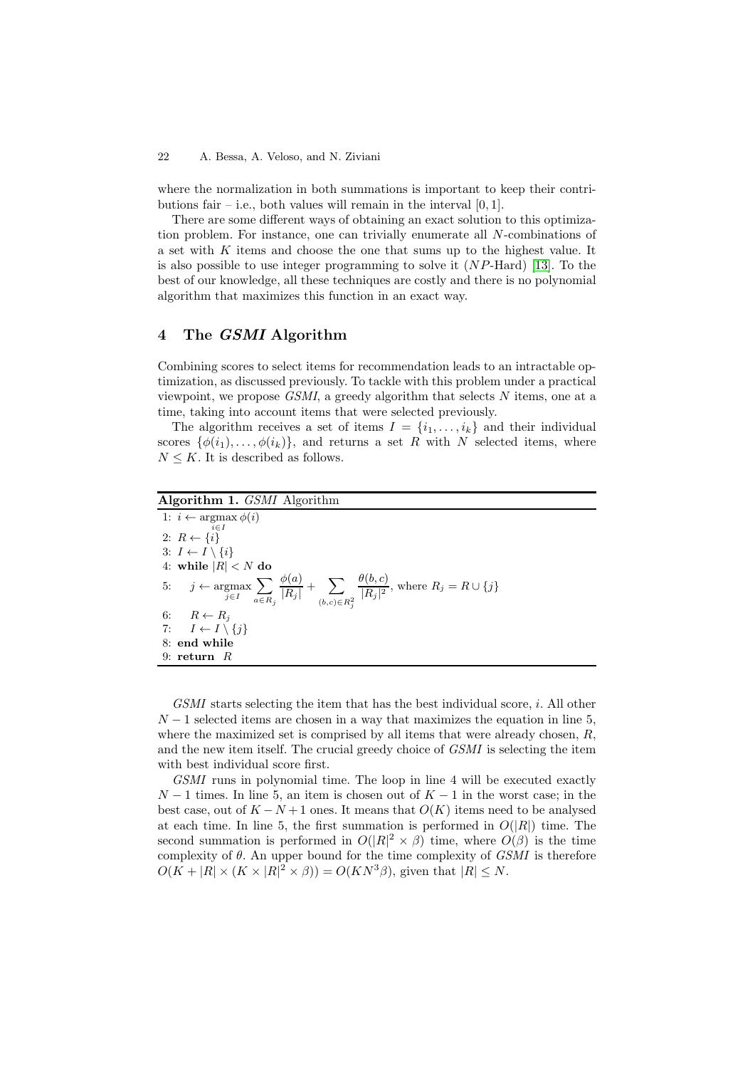where the normalization in both summations is important to keep their contributions fair – i.e., both values will remain in the interval  $[0, 1]$ .

There are some different ways of obtaining an exact solution to this optimization problem. For instance, one can trivially enumerate all N-combinations of a set with K items and choose the one that sums up to the highest value. It is also possible to use integer programming to solve it (NP-Hard) [\[13\]](#page-11-13). To the best of our knowledge, all these techniques are costly and there is no polynomial algorithm that maximizes this function in an exact way.

# **4 The** *GSMI* **Algorithm**

Combining scores to select items for recommendation leads to an intractable optimization, as discussed previously. To tackle with this problem under a practical viewpoint, we propose *GSMI*, a greedy algorithm that selects N items, one at a time, taking into account items that were selected previously.

The algorithm receives a set of items  $I = \{i_1, \ldots, i_k\}$  and their individual scores  $\{\phi(i_1),\ldots,\phi(i_k)\}\$ , and returns a set R with N selected items, where  $N \leq K$ . It is described as follows.

## **Algorithm 1.** *GSMI* Algorithm

1:  $i \leftarrow \argmax \phi(i)$ 2:  $R \leftarrow \{i\}$ <sup>i∈*I*</sup> 3:  $I \leftarrow I \setminus \{i\}$ 4: while  $|R| < N$  do 5:  $j \leftarrow \text{argmax}$ *j*∈*I*  $\sum$ *a*∈*R<sup>j</sup>*  $\frac{\phi(a)}{|R_j|} + \sum_{\alpha \in \Delta}$ (*b,c*)∈*R*<sup>2</sup> *j*  $\theta(b, c)$  $\frac{P(\upsilon, \upsilon)}{|R_j|^2}$ , where  $R_j = R \cup \{j\}$ 6:  $R \leftarrow R_j$ 7:  $I \leftarrow I \setminus \{j\}$ 8: **end while** 9: **return** R

*GSMI* starts selecting the item that has the best individual score, i. All other  $N-1$  selected items are chosen in a way that maximizes the equation in line 5, where the maximized set is comprised by all items that were already chosen,  $R$ , and the new item itself. The crucial greedy choice of *GSMI* is selecting the item with best individual score first.

*GSMI* runs in polynomial time. The loop in line 4 will be executed exactly  $N-1$  times. In line 5, an item is chosen out of  $K-1$  in the worst case; in the best case, out of  $K - N + 1$  ones. It means that  $O(K)$  items need to be analysed at each time. In line 5, the first summation is performed in  $O(|R|)$  time. The second summation is performed in  $O(|R|^2 \times \beta)$  time, where  $O(\beta)$  is the time complexity of θ. An upper bound for the time complexity of *GSMI* is therefore  $O(K+|R| \times (K \times |R|^2 \times \beta)) = O(KN^3\beta)$ , given that  $|R| \leq N$ .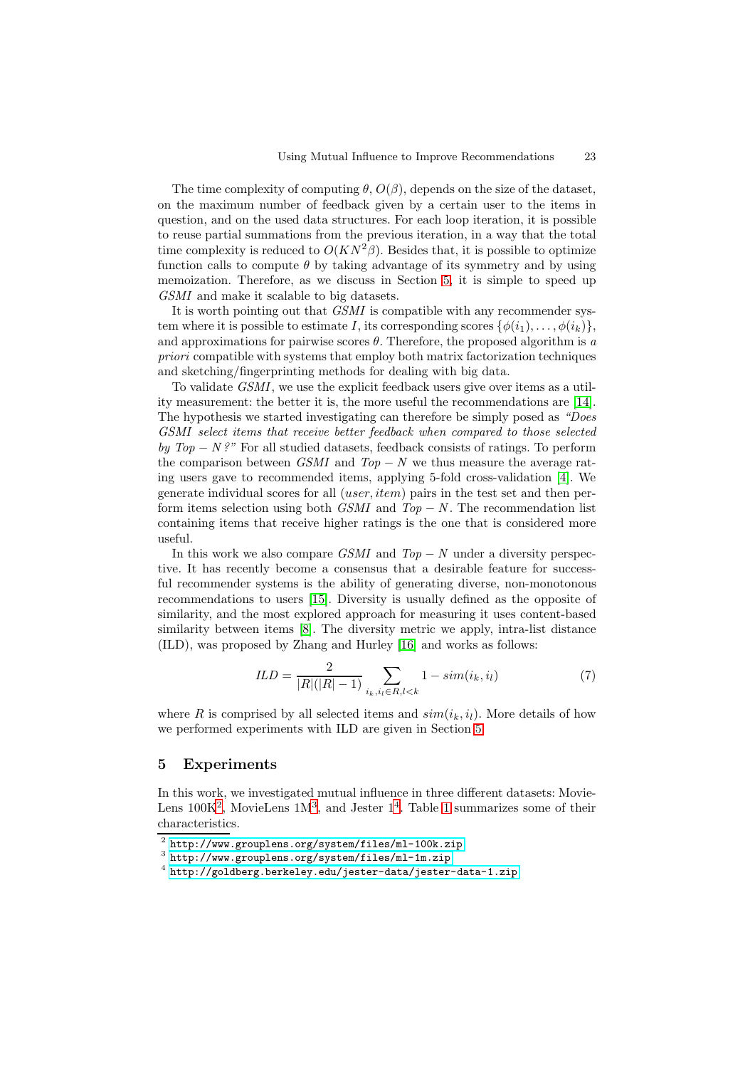The time complexity of computing  $\theta$ ,  $O(\beta)$ , depends on the size of the dataset, on the maximum number of feedback given by a certain user to the items in question, and on the used data structures. For each loop iteration, it is possible to reuse partial summations from the previous iteration, in a way that the total time complexity is reduced to  $O(KN^2\beta)$ . Besides that, it is possible to optimize function calls to compute  $\theta$  by taking advantage of its symmetry and by using memoization. Therefore, as we discuss in Section [5,](#page-6-0) it is simple to speed up *GSMI* and make it scalable to big datasets.

It is worth pointing out that *GSMI* is compatible with any recommender system where it is possible to estimate I, its corresponding scores  $\{\phi(i_1),\ldots,\phi(i_k)\}\$ , and approximations for pairwise scores  $\theta$ . Therefore, the proposed algorithm is *a priori* compatible with systems that employ both matrix factorization techniques and sketching/fingerprinting methods for dealing with big data.

To validate *GSMI*, we use the explicit feedback users give over items as a utility measurement: the better it is, the more useful the recommendations are [\[14\]](#page-11-14). The hypothesis we started investigating can therefore be simply posed as *"Does GSMI select items that receive better feedback when compared to those selected by Top* − *N*?" For all studied datasets, feedback consists of ratings. To perform the comparison between *GSMI* and  $Top - N$  we thus measure the average rating users gave to recommended items, applying 5-fold cross-validation [\[4\]](#page-11-4). We generate individual scores for all (user, item) pairs in the test set and then perform items selection using both *GSMI* and *Top* − *N* . The recommendation list containing items that receive higher ratings is the one that is considered more useful.

In this work we also compare *GSMI* and *Top* − *N* under a diversity perspective. It has recently become a consensus that a desirable feature for successful recommender systems is the ability of generating diverse, non-monotonous recommendations to users [\[15\]](#page-11-15). Diversity is usually defined as the opposite of similarity, and the most explored approach for measuring it uses content-based similarity between items [\[8\]](#page-11-8). The diversity metric we apply, intra-list distance (ILD), was proposed by Zhang and Hurley [\[16\]](#page-11-16) and works as follows:

$$
ILD = \frac{2}{|R|(|R|-1)} \sum_{i_k, i_l \in R, l < k} 1 - sim(i_k, i_l) \tag{7}
$$

where R is comprised by all selected items and  $sim(i_k, i_l)$ . More details of how we performed experiments with ILD are given in Section [5.](#page-6-0)

## <span id="page-6-0"></span>**5 Experiments**

In this work, we investigated mutual influence in three different datasets: Movie-Lens  $100K^2$  $100K^2$ , MovieLens  $1M^3$  $1M^3$ , and Jester  $1^4$  $1^4$ . Table [1](#page-7-0) summarizes some of their characteristics.

<sup>2</sup> <http://www.grouplens.org/system/files/ml-100k.zip>

<span id="page-6-1"></span><sup>3</sup> <http://www.grouplens.org/system/files/ml-1m.zip>

<span id="page-6-3"></span><span id="page-6-2"></span><sup>4</sup> <http://goldberg.berkeley.edu/jester-data/jester-data-1.zip>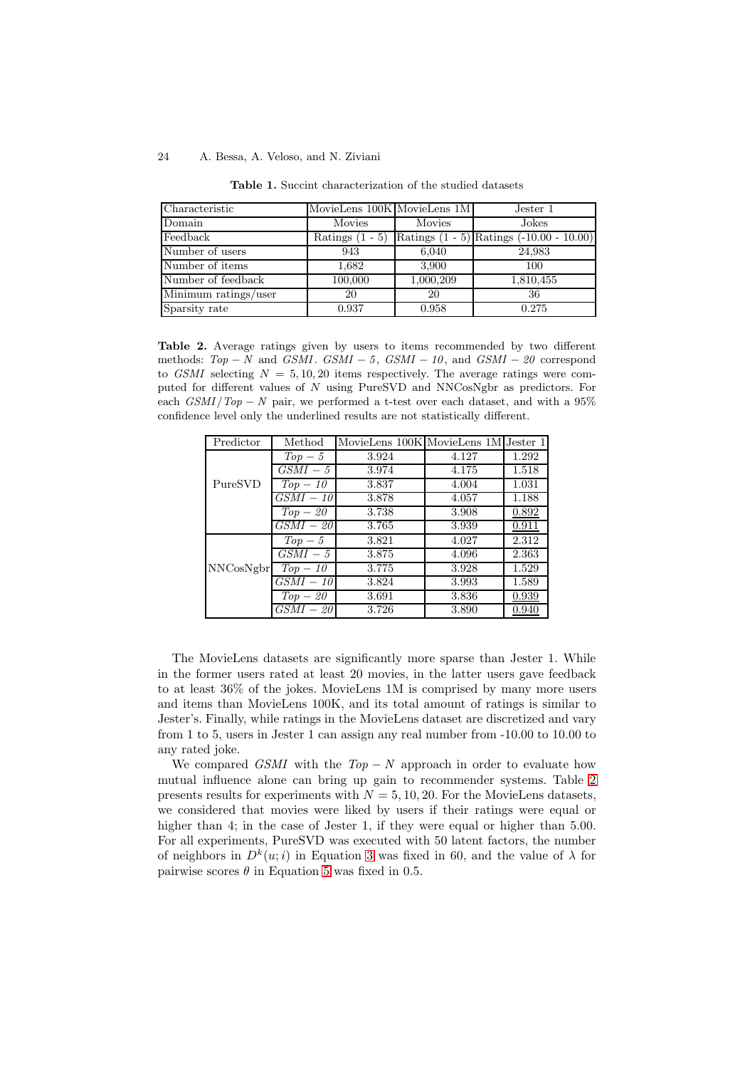<span id="page-7-0"></span>

| Characteristic       | MovieLens 100K MovieLens 1M |           | Jester 1                                     |
|----------------------|-----------------------------|-----------|----------------------------------------------|
| Domain               | Movies                      | Movies    | Jokes                                        |
| Feedback             | Ratings $(1 - 5)$           |           | Ratings $(1 - 5)$ Ratings $(-10.00 - 10.00)$ |
| Number of users      | 943                         | 6,040     | 24,983                                       |
| Number of items      | 1.682                       | 3,900     | 100                                          |
| Number of feedback   | 100,000                     | 1,000,209 | 1,810,455                                    |
| Minimum ratings/user | 20                          | 20        | 36                                           |
| Sparsity rate        | 0.937                       | 0.958     | 0.275                                        |

**Table 1.** Succint characterization of the studied datasets

<span id="page-7-1"></span>Table 2. Average ratings given by users to items recommended by two different methods:  $Top - N$  and  $GSMI$ .  $GSMI - 5$ ,  $GSMI - 10$ , and  $GSMI - 20$  correspond to *GSMI* selecting  $N = 5, 10, 20$  items respectively. The average ratings were computed for different values of N using PureSVD and NNCosNgbr as predictors. For each  $GSMI/Top - N$  pair, we performed a t-test over each dataset, and with a 95% confidence level only the underlined results are not statistically different.

| Predictor | Method      | MovieLens 100K MovieLens 1M Jester 1 |       |       |
|-----------|-------------|--------------------------------------|-------|-------|
| PureSVD   | $Top-5$     | 3.924                                | 4.127 | 1.292 |
|           | $GSMI-5$    | 3.974                                | 4.175 | 1.518 |
|           | $Top-10$    | 3.837                                | 4.004 | 1.031 |
|           | $GSMI - 10$ | 3.878                                | 4.057 | 1.188 |
|           | $Top-20$    | 3.738                                | 3.908 | 0.892 |
|           | $GSMI - 20$ | 3.765                                | 3.939 | 0.911 |
|           | $Top-5$     | 3.821                                | 4.027 | 2.312 |
| NNCosNgbr | $GSMI-5$    | 3.875                                | 4.096 | 2.363 |
|           | $Top-10$    | 3.775                                | 3.928 | 1.529 |
|           | $GSMI - 10$ | 3.824                                | 3.993 | 1.589 |
|           | $Top-20$    | 3.691                                | 3.836 | 0.939 |
|           | $GSMI - 20$ | 3.726                                | 3.890 | 0.940 |

The MovieLens datasets are significantly more sparse than Jester 1. While in the former users rated at least 20 movies, in the latter users gave feedback to at least 36% of the jokes. MovieLens 1M is comprised by many more users and items than MovieLens 100K, and its total amount of ratings is similar to Jester's. Finally, while ratings in the MovieLens dataset are discretized and vary from 1 to 5, users in Jester 1 can assign any real number from -10.00 to 10.00 to any rated joke.

We compared *GSMI* with the *Top* − *N* approach in order to evaluate how mutual influence alone can bring up gain to recommender systems. Table [2](#page-7-1) presents results for experiments with  $N = 5, 10, 20$ . For the MovieLens datasets, we considered that movies were liked by users if their ratings were equal or higher than 4; in the case of Jester 1, if they were equal or higher than 5.00. For all experiments, PureSVD was executed with 50 latent factors, the number of neighbors in  $D^k(u; i)$  in Equation [3](#page-3-1) was fixed in 60, and the value of  $\lambda$  for pairwise scores  $\theta$  in Equation [5](#page-4-1) was fixed in 0.5.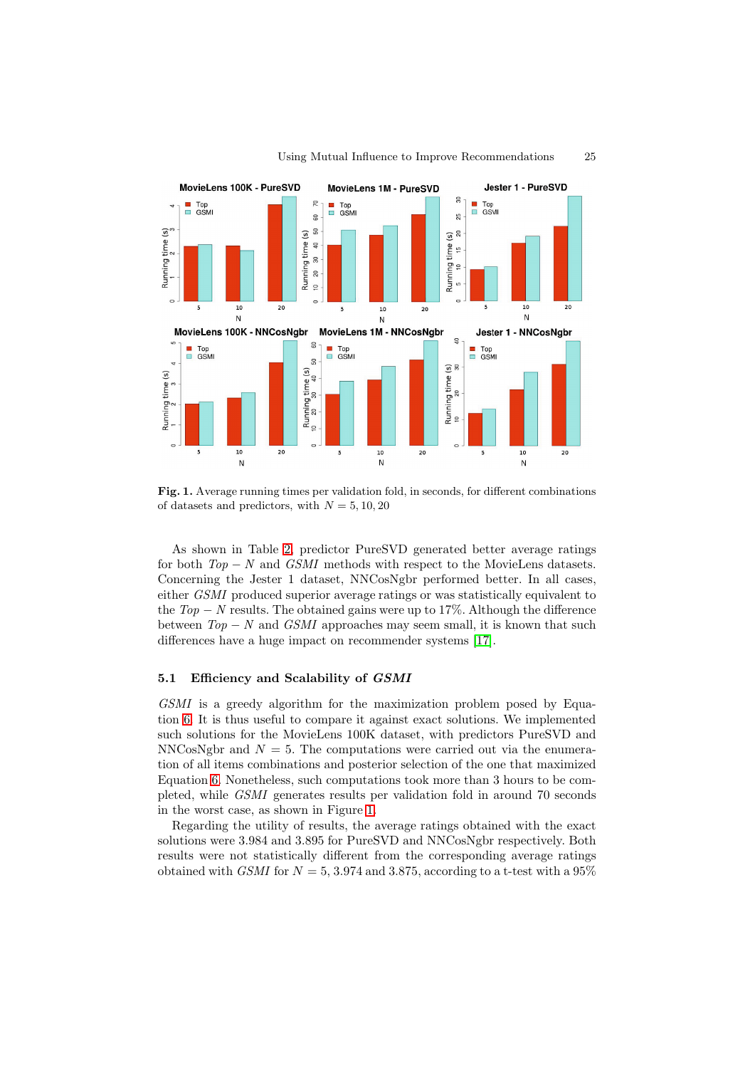

<span id="page-8-0"></span>Fig. 1. Average running times per validation fold, in seconds, for different combinations of datasets and predictors, with  $N = 5, 10, 20$ 

As shown in Table [2,](#page-7-1) predictor PureSVD generated better average ratings for both *Top* − *N* and *GSMI* methods with respect to the MovieLens datasets. Concerning the Jester 1 dataset, NNCosNgbr performed better. In all cases, either *GSMI* produced superior average ratings or was statistically equivalent to the  $Top - N$  results. The obtained gains were up to 17%. Although the difference between  $Top - N$  and *GSMI* approaches may seem small, it is known that such differences have a huge impact on recommender systems [\[17\]](#page-11-17).

## **5.1 Efficiency and Scalability of** *GSMI*

*GSMI* is a greedy algorithm for the maximization problem posed by Equation [6.](#page-4-2) It is thus useful to compare it against exact solutions. We implemented such solutions for the MovieLens 100K dataset, with predictors PureSVD and NNCosNgbr and  $N = 5$ . The computations were carried out via the enumeration of all items combinations and posterior selection of the one that maximized Equation [6.](#page-4-2) Nonetheless, such computations took more than 3 hours to be completed, while *GSMI* generates results per validation fold in around 70 seconds in the worst case, as shown in Figure [1.](#page-8-0)

Regarding the utility of results, the average ratings obtained with the exact solutions were 3.984 and 3.895 for PureSVD and NNCosNgbr respectively. Both results were not statistically different from the corresponding average ratings obtained with *GSMI* for  $N = 5$ , 3.974 and 3.875, according to a t-test with a 95%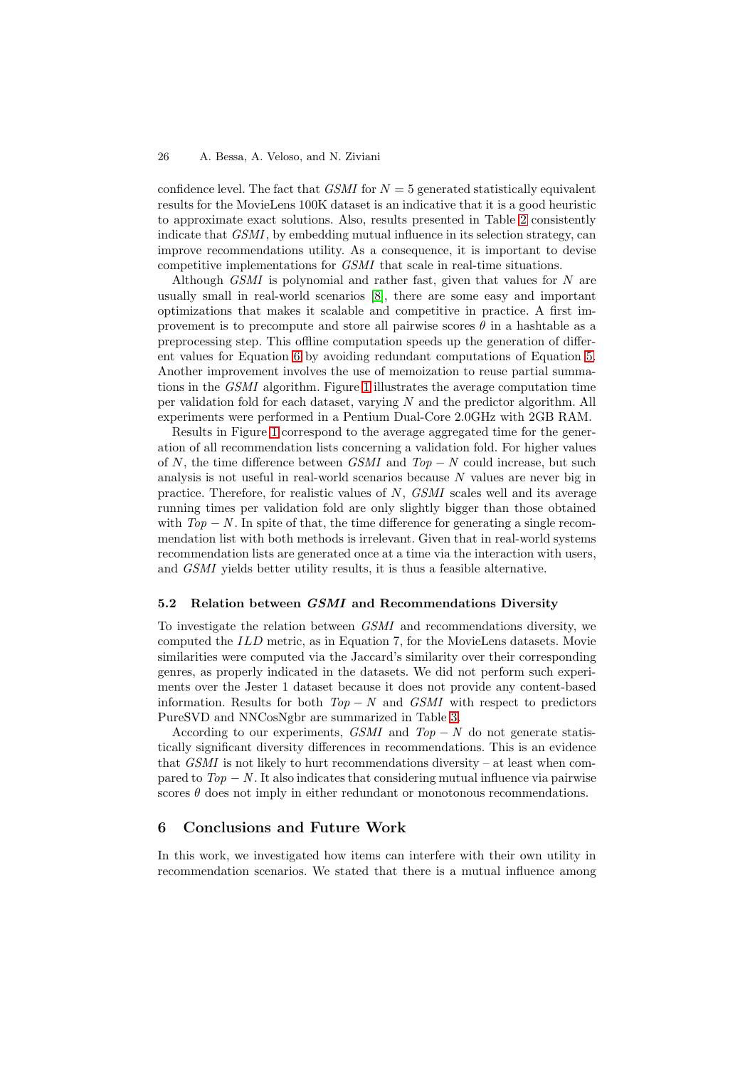confidence level. The fact that *GSMI* for  $N = 5$  generated statistically equivalent results for the MovieLens 100K dataset is an indicative that it is a good heuristic to approximate exact solutions. Also, results presented in Table [2](#page-7-1) consistently indicate that *GSMI*, by embedding mutual influence in its selection strategy, can improve recommendations utility. As a consequence, it is important to devise competitive implementations for *GSMI* that scale in real-time situations.

Although *GSMI* is polynomial and rather fast, given that values for N are usually small in real-world scenarios [\[8\]](#page-11-8), there are some easy and important optimizations that makes it scalable and competitive in practice. A first improvement is to precompute and store all pairwise scores  $\theta$  in a hashtable as a preprocessing step. This offline computation speeds up the generation of different values for Equation [6](#page-4-2) by avoiding redundant computations of Equation [5.](#page-4-1) Another improvement involves the use of memoization to reuse partial summations in the *GSMI* algorithm. Figure [1](#page-8-0) illustrates the average computation time per validation fold for each dataset, varying N and the predictor algorithm. All experiments were performed in a Pentium Dual-Core 2.0GHz with 2GB RAM.

Results in Figure [1](#page-8-0) correspond to the average aggregated time for the generation of all recommendation lists concerning a validation fold. For higher values of N, the time difference between *GSMI* and *Top* − *N* could increase, but such analysis is not useful in real-world scenarios because N values are never big in practice. Therefore, for realistic values of N, *GSMI* scales well and its average running times per validation fold are only slightly bigger than those obtained with  $Top - N$ . In spite of that, the time difference for generating a single recommendation list with both methods is irrelevant. Given that in real-world systems recommendation lists are generated once at a time via the interaction with users, and *GSMI* yields better utility results, it is thus a feasible alternative.

## **5.2 Relation between** *GSMI* **and Recommendations Diversity**

To investigate the relation between *GSMI* and recommendations diversity, we computed the ILD metric, as in Equation 7, for the MovieLens datasets. Movie similarities were computed via the Jaccard's similarity over their corresponding genres, as properly indicated in the datasets. We did not perform such experiments over the Jester 1 dataset because it does not provide any content-based information. Results for both *Top* − *N* and *GSMI* with respect to predictors PureSVD and NNCosNgbr are summarized in Table [3.](#page-10-0)

According to our experiments, *GSMI* and  $Top - N$  do not generate statistically significant diversity differences in recommendations. This is an evidence that  $GSMI$  is not likely to hurt recommendations diversity – at least when compared to  $Top - N$ . It also indicates that considering mutual influence via pairwise scores  $\theta$  does not imply in either redundant or monotonous recommendations.

# **6 Conclusions and Future Work**

In this work, we investigated how items can interfere with their own utility in recommendation scenarios. We stated that there is a mutual influence among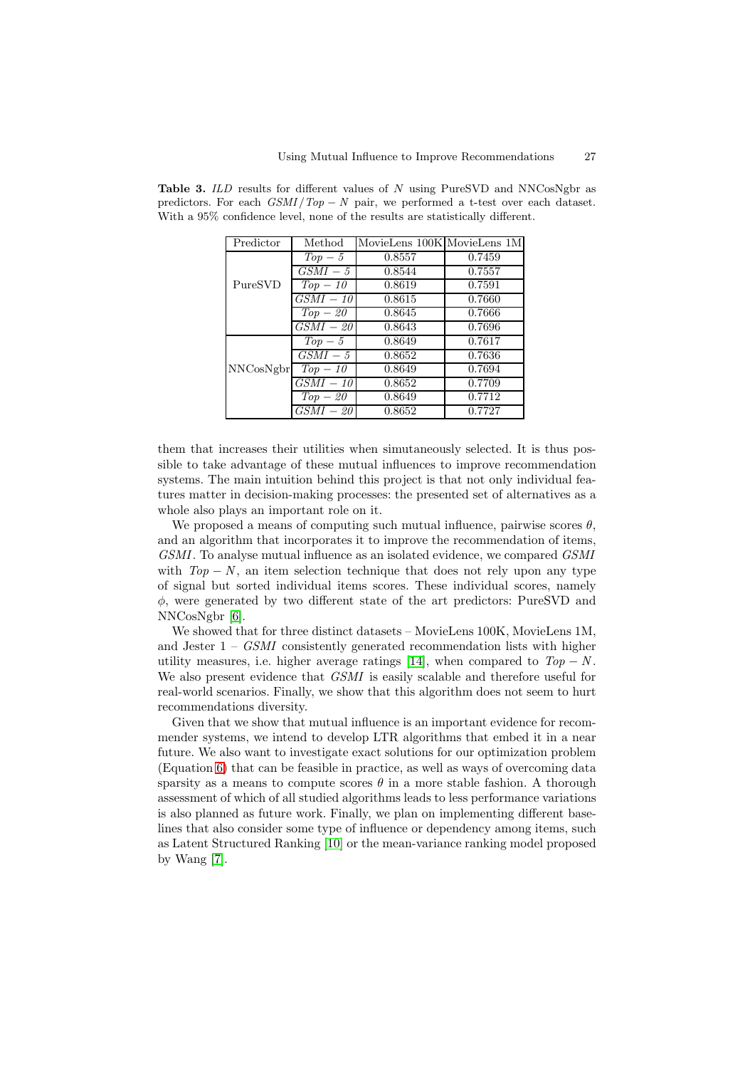| Predictor | Method      | MovieLens 100K MovieLens 1M |        |
|-----------|-------------|-----------------------------|--------|
|           | $Top-5$     | 0.8557                      | 0.7459 |
|           | $GSMI-5$    | 0.8544                      | 0.7557 |
| PureSVD   | $Top-10$    | 0.8619                      | 0.7591 |
|           | $GSMI - 10$ | 0.8615                      | 0.7660 |
|           | $Top-20$    | 0.8645                      | 0.7666 |
|           | $GSMI - 20$ | 0.8643                      | 0.7696 |
|           | $Top-5$     | 0.8649                      | 0.7617 |
|           | $GSMI - 5$  | 0.8652                      | 0.7636 |
| NNCosNgbr | $Top-10$    | 0.8649                      | 0.7694 |
|           | $GSMI-10$   | 0.8652                      | 0.7709 |
|           | $Top-20$    | 0.8649                      | 0.7712 |
|           | $GSMI - 20$ | 0.8652                      | 0.7727 |

<span id="page-10-0"></span>**Table 3.** *ILD* results for different values of N using PureSVD and NNCosNgbr as predictors. For each  $GSMI/Top - N$  pair, we performed a t-test over each dataset. With a 95% confidence level, none of the results are statistically different.

them that increases their utilities when simutaneously selected. It is thus possible to take advantage of these mutual influences to improve recommendation systems. The main intuition behind this project is that not only individual features matter in decision-making processes: the presented set of alternatives as a whole also plays an important role on it.

We proposed a means of computing such mutual influence, pairwise scores  $\theta$ , and an algorithm that incorporates it to improve the recommendation of items, *GSMI*. To analyse mutual influence as an isolated evidence, we compared *GSMI* with  $Top - N$ , an item selection technique that does not rely upon any type of signal but sorted individual items scores. These individual scores, namely φ, were generated by two different state of the art predictors: PureSVD and NNCosNgbr [\[6\]](#page-11-6).

We showed that for three distinct datasets – MovieLens 100K, MovieLens 1M, and Jester 1 – *GSMI* consistently generated recommendation lists with higher utility measures, i.e. higher average ratings [\[14\]](#page-11-14), when compared to  $Top - N$ . We also present evidence that *GSMI* is easily scalable and therefore useful for real-world scenarios. Finally, we show that this algorithm does not seem to hurt recommendations diversity.

Given that we show that mutual influence is an important evidence for recommender systems, we intend to develop LTR algorithms that embed it in a near future. We also want to investigate exact solutions for our optimization problem (Equation [6\)](#page-4-2) that can be feasible in practice, as well as ways of overcoming data sparsity as a means to compute scores  $\theta$  in a more stable fashion. A thorough assessment of which of all studied algorithms leads to less performance variations is also planned as future work. Finally, we plan on implementing different baselines that also consider some type of influence or dependency among items, such as Latent Structured Ranking [\[10\]](#page-11-10) or the mean-variance ranking model proposed by Wang [\[7\]](#page-11-7).